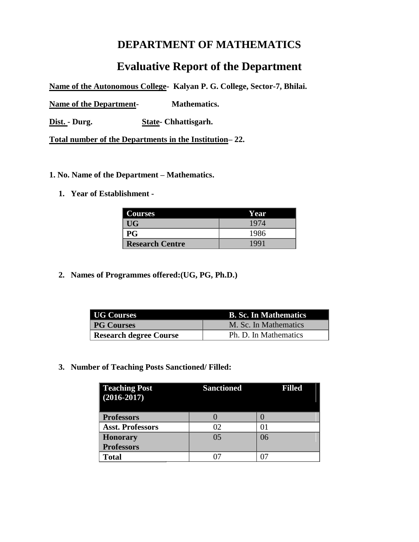# **DEPARTMENT OF MATHEMATICS**

# **Evaluative Report of the Department**

**Name of the Autonomous College- Kalyan P. G. College, Sector-7, Bhilai.**

**Name of the Department- Mathematics.**

**Dist. - Durg. State- Chhattisgarh.**

**Total number of the Departments in the Institution– 22.**

- **1. No. Name of the Department – Mathematics.** 
	- **1. Year of Establishment**

| <b>Courses</b>         | Year |
|------------------------|------|
| UG <sub></sub>         | 1974 |
| P G                    | 1986 |
| <b>Research Centre</b> | 1991 |

**2. Names of Programmes offered:(UG, PG, Ph.D.)**

| <b>UG Courses</b>      | <b>B. Sc. In Mathematics</b> |
|------------------------|------------------------------|
| <b>PG Courses</b>      | M. Sc. In Mathematics        |
| Research degree Course | Ph. D. In Mathematics        |

**3. Number of Teaching Posts Sanctioned/ Filled:**

| <b>Teaching Post</b><br>$(2016 - 2017)$ | <b>Sanctioned</b> | <b>Filled</b> |
|-----------------------------------------|-------------------|---------------|
| <b>Professors</b>                       |                   |               |
| <b>Asst. Professors</b>                 | 02                | 11            |
| <b>Honorary</b>                         | 0 <sub>5</sub>    | 06            |
| <b>Professors</b>                       |                   |               |
| <b>Total</b>                            |                   |               |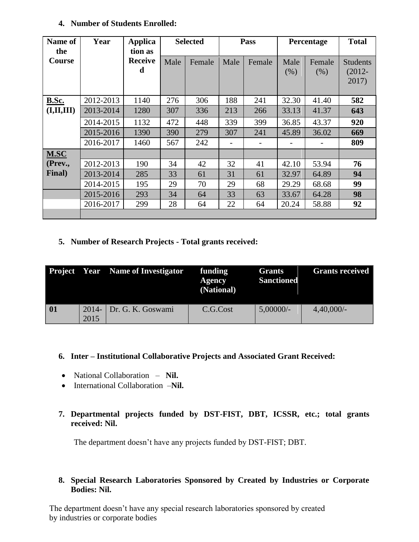| Name of<br>the | Year      | <b>Applica</b><br>tion as |      | <b>Selected</b> |                          | Pass   |              | Percentage               | <b>Total</b>                          |
|----------------|-----------|---------------------------|------|-----------------|--------------------------|--------|--------------|--------------------------|---------------------------------------|
| <b>Course</b>  |           | <b>Receive</b><br>d       | Male | Female          | Male                     | Female | Male<br>(% ) | Female<br>(% )           | <b>Students</b><br>$(2012 -$<br>2017) |
| <b>B.Sc.</b>   | 2012-2013 | 1140                      | 276  | 306             | 188                      | 241    | 32.30        | 41.40                    | 582                                   |
| (I,II,III)     | 2013-2014 | 1280                      | 307  | 336             | 213                      | 266    | 33.13        | 41.37                    | 643                                   |
|                | 2014-2015 | 1132                      | 472  | 448             | 339                      | 399    | 36.85        | 43.37                    | 920                                   |
|                | 2015-2016 | 1390                      | 390  | 279             | 307                      | 241    | 45.89        | 36.02                    | 669                                   |
|                | 2016-2017 | 1460                      | 567  | 242             | $\overline{\phantom{a}}$ |        |              | $\overline{\phantom{m}}$ | 809                                   |
| M.SC           |           |                           |      |                 |                          |        |              |                          |                                       |
| (Prev.,        | 2012-2013 | 190                       | 34   | 42              | 32                       | 41     | 42.10        | 53.94                    | 76                                    |
| Final)         | 2013-2014 | 285                       | 33   | 61              | 31                       | 61     | 32.97        | 64.89                    | 94                                    |
|                | 2014-2015 | 195                       | 29   | 70              | 29                       | 68     | 29.29        | 68.68                    | 99                                    |
|                | 2015-2016 | 293                       | 34   | 64              | 33                       | 63     | 33.67        | 64.28                    | 98                                    |
|                | 2016-2017 | 299                       | 28   | 64              | 22                       | 64     | 20.24        | 58.88                    | 92                                    |
|                |           |                           |      |                 |                          |        |              |                          |                                       |

### **4. Number of Students Enrolled:**

### **5. Number of Research Projects - Total grants received:**

|    |                  | <b>Project</b> Year Name of Investigator | funding<br>Agency<br>(National) | <b>Grants</b><br><b>Sanctioned</b> | <b>Grants received</b> |
|----|------------------|------------------------------------------|---------------------------------|------------------------------------|------------------------|
| 01 | $2014 -$<br>2015 | Dr. G. K. Goswami                        | C.G.Cost                        | $5,00000/-$                        | $4,40,000/-$           |

### **6. Inter – Institutional Collaborative Projects and Associated Grant Received:**

- National Collaboration **Nil.**
- International Collaboration –**Nil.**
- **7. Departmental projects funded by DST-FIST, DBT, ICSSR, etc.; total grants received: Nil.**

The department doesn't have any projects funded by DST-FIST; DBT.

### **8. Special Research Laboratories Sponsored by Created by Industries or Corporate Bodies: Nil.**

The department doesn't have any special research laboratories sponsored by created by industries or corporate bodies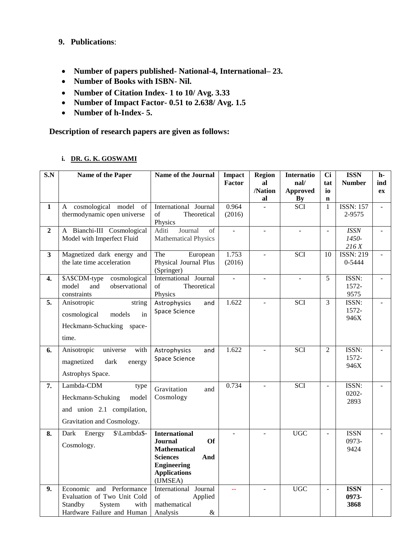### **9. Publications**:

- **Number of papers published- National-4, International– 23.**
- **Number of Books with ISBN- Nil.**
- **Number of Citation Index- 1 to 10/ Avg. 3.33**
- **Number of Impact Factor- 0.51 to 2.638/ Avg. 1.5**
- **Number of h-Index- 5.**

**Description of research papers are given as follows:**

| i. DR. G. K. GOSWAMI |
|----------------------|
|                      |

| S.N                     | Name of the Paper                                                                                                     | Name of the Journal                                                                                                                                           | <b>Impact</b><br>Factor  | <b>Region</b><br>al      | <b>Internatio</b><br>$\bf{nal}$ | <b>Ci</b><br>tat         | <b>ISSN</b><br><b>Number</b> | $h-$<br>ind              |
|-------------------------|-----------------------------------------------------------------------------------------------------------------------|---------------------------------------------------------------------------------------------------------------------------------------------------------------|--------------------------|--------------------------|---------------------------------|--------------------------|------------------------------|--------------------------|
|                         |                                                                                                                       |                                                                                                                                                               |                          | /Nation<br>al            | <b>Approved</b>                 | io<br>$\mathbf n$        |                              | ex                       |
| $\mathbf{1}$            | A cosmological model of<br>thermodynamic open universe                                                                | International Journal<br>of<br>Theoretical<br>Physics                                                                                                         | 0.964<br>(2016)          |                          | $rac{By}{SCI}$                  | $\mathbf{1}$             | <b>ISSN: 157</b><br>2-9575   | $\overline{a}$           |
| $\overline{2}$          | A Bianchi-III Cosmological<br>Model with Imperfect Fluid                                                              | Journal<br>Aditi<br>of<br><b>Mathematical Physics</b>                                                                                                         | $\overline{\phantom{a}}$ | $\overline{\phantom{a}}$ | $\overline{\phantom{a}}$        | $\blacksquare$           | <b>ISSN</b><br>1450-<br>216X | $\overline{\phantom{a}}$ |
| $\overline{\mathbf{3}}$ | Magnetized dark energy and<br>the late time acceleration                                                              | European<br>The<br>Physical Journal Plus<br>(Springer)                                                                                                        | 1.753<br>(2016)          |                          | $\overline{SCI}$                | 10                       | <b>ISSN: 219</b><br>0-5444   |                          |
| 4.                      | \$A\$CDM-type<br>cosmological<br>model<br>observational<br>and<br>constraints                                         | International Journal<br>Theoretical<br>of<br>Physics                                                                                                         | $\overline{a}$           | $\overline{\phantom{a}}$ | $\overline{\phantom{a}}$        | 5                        | ISSN:<br>1572-<br>9575       |                          |
| 5.                      | Anisotropic<br>string<br>cosmological<br>models<br>in<br>Heckmann-Schucking space-<br>time.                           | Astrophysics<br>and<br>Space Science                                                                                                                          | 1.622                    | $\overline{\phantom{a}}$ | SCI                             | $\overline{3}$           | ISSN:<br>1572-<br>946X       | $\equiv$                 |
| 6.                      | Anisotropic<br>universe<br>with<br>magnetized<br>dark<br>energy<br>Astrophys Space.                                   | Astrophysics<br>and<br>Space Science                                                                                                                          | 1.622                    |                          | <b>SCI</b>                      | $\overline{2}$           | ISSN:<br>1572-<br>946X       |                          |
| 7.                      | Lambda-CDM<br>type<br>Heckmann-Schuking<br>model<br>and union 2.1 compilation,<br>Gravitation and Cosmology.          | Gravitation<br>and<br>Cosmology                                                                                                                               | 0.734                    |                          | $\overline{SCI}$                | $\overline{\phantom{a}}$ | ISSN:<br>0202-<br>2893       | $\overline{\phantom{a}}$ |
| 8.                      | \$\Lambda\$-<br>Energy<br>Dark<br>Cosmology.                                                                          | <b>International</b><br><b>Journal</b><br><b>Of</b><br><b>Mathematical</b><br><b>Sciences</b><br>And<br><b>Engineering</b><br><b>Applications</b><br>(IJMSEA) |                          |                          | <b>UGC</b>                      | $\sim$                   | <b>ISSN</b><br>0973-<br>9424 |                          |
| 9.                      | Economic<br>and Performance<br>Evaluation of Two Unit Cold<br>Standby<br>with<br>System<br>Hardware Failure and Human | International Journal<br>of<br>Applied<br>mathematical<br>$\&$<br>Analysis                                                                                    |                          |                          | <b>UGC</b>                      | $\overline{\phantom{a}}$ | <b>ISSN</b><br>0973-<br>3868 |                          |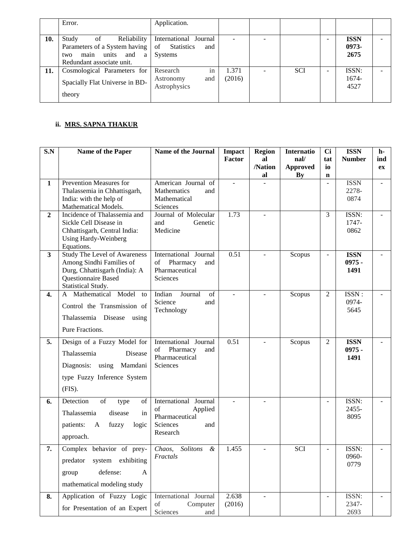|     | Error.                                                                                                                         | Application.                                                              |                 |            |   |                              |  |
|-----|--------------------------------------------------------------------------------------------------------------------------------|---------------------------------------------------------------------------|-----------------|------------|---|------------------------------|--|
| 10. | Reliability<br>Study<br>of<br>Parameters of a System having<br>and<br>units<br>main<br>a l<br>two<br>Redundant associate unit. | International Journal<br><b>Statistics</b><br>of<br>and<br><b>Systems</b> |                 |            | - | <b>ISSN</b><br>0973-<br>2675 |  |
| 11. | Cosmological Parameters for<br>Spacially Flat Universe in BD-<br>theory                                                        | in<br>Research<br>Astronomy<br>and<br>Astrophysics                        | 1.371<br>(2016) | <b>SCI</b> | - | ISSN:<br>1674-<br>4527       |  |

# **ii. MRS. SAPNA THAKUR**

| S.N                     | Name of the Paper                                                                                                                             | <b>Name of the Journal</b>                                                              | <b>Impact</b><br>Factor | <b>Region</b><br>al | <b>Internatio</b><br>$\mathbf{nal}/$ | <b>Ci</b><br>tat  | <b>ISSN</b><br><b>Number</b>    | h-<br>ind |
|-------------------------|-----------------------------------------------------------------------------------------------------------------------------------------------|-----------------------------------------------------------------------------------------|-------------------------|---------------------|--------------------------------------|-------------------|---------------------------------|-----------|
|                         |                                                                                                                                               |                                                                                         |                         | /Nation<br>al       | <b>Approved</b><br>By                | io<br>$\mathbf n$ |                                 | ex        |
| $\mathbf{1}$            | Prevention Measures for<br>Thalassemia in Chhattisgarh,<br>India: with the help of<br>Mathematical Models.                                    | American Journal of<br><b>Mathematics</b><br>and<br>Mathematical<br>Sciences            | ÷.                      |                     |                                      |                   | <b>ISSN</b><br>2278-<br>0874    |           |
| $\mathbf{2}$            | Incidence of Thalassemia and<br>Sickle Cell Disease in<br>Chhattisgarh, Central India:<br><b>Using Hardy-Weinberg</b><br>Equations.           | Journal of Molecular<br>and<br>Genetic<br>Medicine                                      | 1.73                    |                     |                                      | 3                 | ISSN:<br>1747-<br>0862          |           |
| $\overline{\mathbf{3}}$ | <b>Study The Level of Awareness</b><br>Among Sindhi Families of<br>Durg, Chhattisgarh (India): A<br>Questionnaire Based<br>Statistical Study. | International Journal<br>of<br>Pharmacy<br>and<br>Pharmaceutical<br>Sciences            | 0.51                    |                     | Scopus                               | $\blacksquare$    | <b>ISSN</b><br>$0975 -$<br>1491 |           |
| 4.                      | A Mathematical Model<br>to<br>Control the Transmission of<br>Thalassemia Disease using<br>Pure Fractions.                                     | of<br>Indian<br>Journal<br>Science<br>and<br>Technology                                 |                         |                     | Scopus                               | 2                 | ISSN:<br>0974-<br>5645          |           |
| 5.                      | Design of a Fuzzy Model for<br>Thalassemia<br>Disease<br>Diagnosis: using Mamdani<br>type Fuzzy Inference System<br>(FIS).                    | International Journal<br>Pharmacy<br>of<br>and<br>Pharmaceutical<br>Sciences            | 0.51                    |                     | Scopus                               | $\overline{c}$    | <b>ISSN</b><br>$0975 -$<br>1491 |           |
| 6.                      | Detection<br>of<br>of<br>type<br>Thalassemia<br>disease<br>in<br>fuzzy<br>patients:<br>logic<br>A<br>approach.                                | International Journal<br>of<br>Applied<br>Pharmaceutical<br>Sciences<br>and<br>Research |                         |                     |                                      |                   | ISSN:<br>2455-<br>8095          |           |
| 7.                      | Complex behavior of prey-<br>system exhibiting<br>predator<br>defense:<br>A<br>group<br>mathematical modeling study                           | Chaos,<br><b>Solitons</b><br>$\alpha$<br>Fractals                                       | 1.455                   |                     | <b>SCI</b>                           |                   | ISSN:<br>0960-<br>0779          |           |
| 8.                      | Application of Fuzzy Logic<br>for Presentation of an Expert                                                                                   | International Journal<br>Computer<br>of<br>Sciences<br>and                              | 2.638<br>(2016)         |                     |                                      | $\overline{a}$    | ISSN:<br>2347-<br>2693          |           |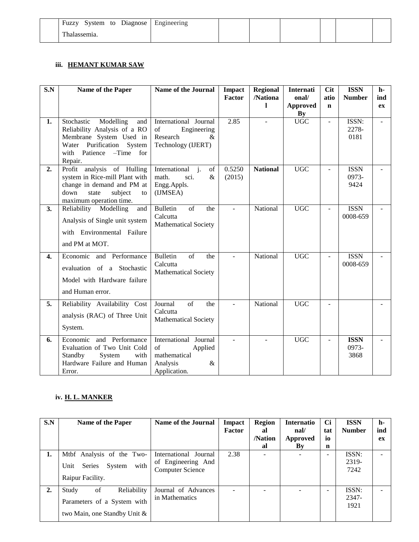| System to Diagnose Engineering<br>Fuzzy |  |  |  |  |
|-----------------------------------------|--|--|--|--|
| T11                                     |  |  |  |  |

### **iii. HEMANT KUMAR SAW**

| S.N              | Name of the Paper                                                                                                                                            | <b>Name of the Journal</b>                                                                  | Impact<br>Factor         | <b>Regional</b><br>/Nationa | Internati<br>onal/    | <b>Cit</b><br>atio | <b>ISSN</b><br><b>Number</b> | $h-$<br>ind |
|------------------|--------------------------------------------------------------------------------------------------------------------------------------------------------------|---------------------------------------------------------------------------------------------|--------------------------|-----------------------------|-----------------------|--------------------|------------------------------|-------------|
|                  |                                                                                                                                                              |                                                                                             |                          | 1                           | <b>Approved</b><br>By | $\mathbf n$        |                              | ex          |
| 1.               | Modelling<br>Stochastic<br>and<br>Reliability Analysis of a RO<br>Membrane System Used in<br>Water Purification System<br>with Patience -Time for<br>Repair. | International Journal<br>of<br>Engineering<br>Research<br>&<br>Technology (IJERT)           | 2.85                     |                             | <b>UGC</b>            |                    | ISSN:<br>2278-<br>0181       |             |
| 2.               | Profit analysis of Hulling<br>system in Rice-mill Plant with<br>change in demand and PM at<br>down<br>state<br>subject<br>to<br>maximum operation time.      | International <i>i</i> .<br>of<br>math.<br>sci.<br>&<br>Engg.Appls.<br>(IJMSEA)             | 0.5250<br>(2015)         | <b>National</b>             | <b>UGC</b>            |                    | <b>ISSN</b><br>0973-<br>9424 |             |
| 3.               | Reliability<br>Modelling<br>and<br>Analysis of Single unit system<br>with Environmental Failure<br>and PM at MOT.                                            | <b>Bulletin</b><br>of<br>the<br>Calcutta<br><b>Mathematical Society</b>                     |                          | National                    | <b>UGC</b>            |                    | <b>ISSN</b><br>0008-659      |             |
| $\overline{4}$ . | Economic and Performance<br>evaluation of a Stochastic<br>Model with Hardware failure<br>and Human error.                                                    | $\overline{\text{of}}$<br><b>Bulletin</b><br>the<br>Calcutta<br><b>Mathematical Society</b> | $\overline{\phantom{a}}$ | National                    | <b>UGC</b>            | $\overline{a}$     | <b>ISSN</b><br>0008-659      |             |
| 5.               | Reliability Availability Cost<br>analysis (RAC) of Three Unit<br>System.                                                                                     | of<br>Journal<br>the<br>Calcutta<br><b>Mathematical Society</b>                             | ÷.                       | National                    | <b>UGC</b>            |                    |                              |             |
| 6.               | Economic and Performance<br>Evaluation of Two Unit Cold<br>Standby<br>System<br>with<br>Hardware Failure and Human<br>Error.                                 | International Journal<br>of<br>Applied<br>mathematical<br>Analysis<br>&<br>Application.     |                          |                             | <b>UGC</b>            |                    | <b>ISSN</b><br>0973-<br>3868 |             |

### **iv. H. L. MANKER**

| S.N | Name of the Paper                | <b>Name of the Journal</b> | Impact        | <b>Region</b> | Internatio                | <b>Ci</b> | <b>ISSN</b>   | h-  |
|-----|----------------------------------|----------------------------|---------------|---------------|---------------------------|-----------|---------------|-----|
|     |                                  |                            | <b>Factor</b> | al            | $\mathbf{nal}/\mathbf{a}$ | tat       | <b>Number</b> | ind |
|     |                                  |                            |               | /Nation       | <b>Approved</b>           | io        |               | ex  |
|     |                                  |                            |               | al            | By                        | n         |               |     |
| 1.  | Mtbf Analysis of the Two-        | International<br>Journal   | 2.38          |               |                           | -         | ISSN:         |     |
|     |                                  | of Engineering And         |               |               |                           |           | 2319-         |     |
|     | with<br>Series<br>System<br>Unit | <b>Computer Science</b>    |               |               |                           |           | 7242          |     |
|     | Raipur Facility.                 |                            |               |               |                           |           |               |     |
| 2.  | of<br>Reliability<br>Study       | Journal of Advances        |               |               |                           |           | ISSN:         |     |
|     |                                  | in Mathematics             |               |               |                           |           | 2347-         |     |
|     | Parameters of a System with      |                            |               |               |                           |           | 1921          |     |
|     | two Main, one Standby Unit &     |                            |               |               |                           |           |               |     |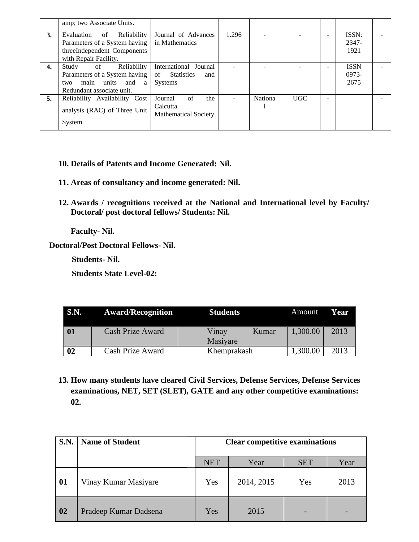|    | amp; two Associate Units.                                                                                 |                                         |       |         |      |   |                |  |
|----|-----------------------------------------------------------------------------------------------------------|-----------------------------------------|-------|---------|------|---|----------------|--|
| 3. | Journal of Advances<br>Reliability<br>Evaluation<br>of<br>Parameters of a System having<br>in Mathematics |                                         | 1.296 |         |      |   | ISSN:<br>2347- |  |
|    | threeIndependent Components                                                                               |                                         |       |         |      |   | 1921           |  |
|    | with Repair Facility.                                                                                     |                                         |       |         |      |   |                |  |
| 4. | of<br>Reliability<br>Study                                                                                | International Journal                   |       |         |      |   | <b>ISSN</b>    |  |
|    | Parameters of a System having                                                                             | <b>Statistics</b><br>of<br>and          |       |         |      |   | $0973-$        |  |
|    | main units and<br>two<br>a                                                                                | <b>Systems</b>                          |       |         |      |   | 2675           |  |
|    | Redundant associate unit.                                                                                 |                                         |       |         |      |   |                |  |
| 5. | Reliability Availability Cost                                                                             | of<br>Journal<br>the                    |       | Nationa | UGC. | - |                |  |
|    | analysis (RAC) of Three Unit                                                                              | Calcutta<br><b>Mathematical Society</b> |       |         |      |   |                |  |
|    | System.                                                                                                   |                                         |       |         |      |   |                |  |

- **10. Details of Patents and Income Generated: Nil.**
- **11. Areas of consultancy and income generated: Nil.**
- **12. Awards / recognitions received at the National and International level by Faculty/ Doctoral/ post doctoral fellows/ Students: Nil.**

**Faculty- Nil.**

**Doctoral/Post Doctoral Fellows- Nil.**

 **Students- Nil.**

 **Students State Level-02:**

| <b>S.N.</b> | <b>Award/Recognition</b> | <b>Students</b>            | Amount   | Year |
|-------------|--------------------------|----------------------------|----------|------|
| 01          | <b>Cash Prize Award</b>  | Vinay<br>Kumar<br>Masiyare | 1,300.00 | 2013 |
| 02          | Cash Prize Award         | Khemprakash                | 1,300.00 | 2013 |

**13. How many students have cleared Civil Services, Defense Services, Defense Services examinations, NET, SET (SLET), GATE and any other competitive examinations: 02.**

| <b>S.N.</b> | <b>Name of Student</b> | <b>Clear competitive examinations</b> |            |            |      |
|-------------|------------------------|---------------------------------------|------------|------------|------|
|             |                        | <b>NET</b>                            | Year       | <b>SET</b> | Year |
| 01          | Vinay Kumar Masiyare   | Yes                                   | 2014, 2015 | Yes        | 2013 |
| 02          | Pradeep Kumar Dadsena  | Yes                                   | 2015       |            |      |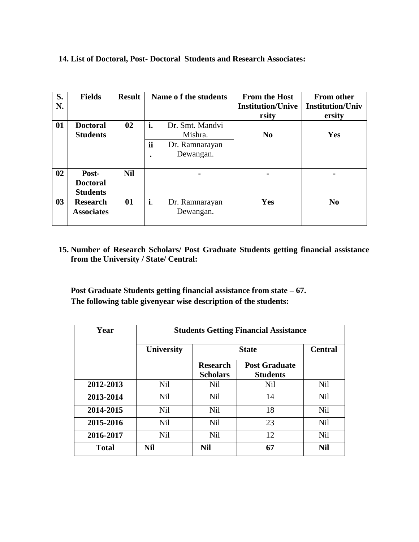# **14. List of Doctoral, Post- Doctoral Students and Research Associates:**

| S.<br>N.       | <b>Fields</b>                               | <b>Result</b> |                       | Name of the students                                      | <b>From the Host</b><br><b>Institution/Unive</b><br>rsity | <b>From other</b><br><b>Institution/Univ</b><br>ersity |
|----------------|---------------------------------------------|---------------|-----------------------|-----------------------------------------------------------|-----------------------------------------------------------|--------------------------------------------------------|
| 01             | <b>Doctoral</b><br><b>Students</b>          | 02            | i.<br>ii<br>$\bullet$ | Dr. Smt. Mandvi<br>Mishra.<br>Dr. Ramnarayan<br>Dewangan. | N <sub>0</sub>                                            | Yes                                                    |
| 02             | Post-<br><b>Doctoral</b><br><b>Students</b> | <b>Nil</b>    |                       |                                                           |                                                           |                                                        |
| 0 <sub>3</sub> | <b>Research</b><br><b>Associates</b>        | 01            | i.                    | Dr. Ramnarayan<br>Dewangan.                               | <b>Yes</b>                                                | N <sub>0</sub>                                         |

**15. Number of Research Scholars/ Post Graduate Students getting financial assistance from the University / State/ Central:** 

**Post Graduate Students getting financial assistance from state – 67. The following table givenyear wise description of the students:**

| Year         |                   | <b>Students Getting Financial Assistance</b> |                                         |                |  |  |
|--------------|-------------------|----------------------------------------------|-----------------------------------------|----------------|--|--|
|              | <b>University</b> | <b>State</b>                                 |                                         | <b>Central</b> |  |  |
|              |                   | <b>Research</b><br><b>Scholars</b>           | <b>Post Graduate</b><br><b>Students</b> |                |  |  |
| 2012-2013    | <b>Nil</b>        | <b>Nil</b>                                   | <b>Nil</b>                              | <b>Nil</b>     |  |  |
| 2013-2014    | <b>Nil</b>        | <b>Nil</b>                                   | 14                                      | <b>Nil</b>     |  |  |
| 2014-2015    | <b>Nil</b>        | <b>Nil</b>                                   | 18                                      | <b>Nil</b>     |  |  |
| 2015-2016    | <b>Nil</b>        | <b>Nil</b>                                   | 23                                      | <b>Nil</b>     |  |  |
| 2016-2017    | Nil               | <b>Nil</b>                                   | 12                                      | <b>Nil</b>     |  |  |
| <b>Total</b> | <b>Nil</b>        | <b>Nil</b>                                   | 67                                      | <b>Nil</b>     |  |  |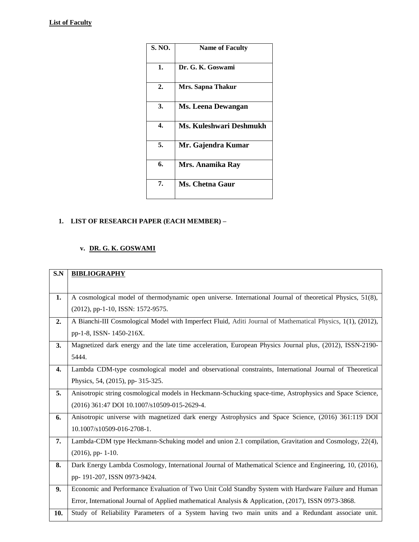| S. NO.           | <b>Name of Faculty</b>  |
|------------------|-------------------------|
| 1.               | Dr. G. K. Goswami       |
| $\overline{2}$ . | Mrs. Sapna Thakur       |
| 3.               | Ms. Leena Dewangan      |
| 4.               | Ms. Kuleshwari Deshmukh |
| 5.               | Mr. Gajendra Kumar      |
| 6.               | <b>Mrs. Anamika Ray</b> |
| 7.               | Ms. Chetna Gaur         |

# **1. LIST OF RESEARCH PAPER (EACH MEMBER) –**

### **v. DR. G. K. GOSWAMI**

| S.N | <b>BIBLIOGRAPHY</b>                                                                                         |
|-----|-------------------------------------------------------------------------------------------------------------|
|     |                                                                                                             |
| 1.  | A cosmological model of thermodynamic open universe. International Journal of theoretical Physics, 51(8),   |
|     | (2012), pp-1-10, ISSN: 1572-9575.                                                                           |
| 2.  | A Bianchi-III Cosmological Model with Imperfect Fluid, Aditi Journal of Mathematical Physics, 1(1), (2012), |
|     | pp-1-8, ISSN-1450-216X.                                                                                     |
| 3.  | Magnetized dark energy and the late time acceleration, European Physics Journal plus, (2012), ISSN-2190-    |
|     | 5444.                                                                                                       |
| 4.  | Lambda CDM-type cosmological model and observational constraints, International Journal of Theoretical      |
|     | Physics, 54, (2015), pp- 315-325.                                                                           |
| 5.  | Anisotropic string cosmological models in Heckmann-Schucking space-time, Astrophysics and Space Science,    |
|     | (2016) 361:47 DOI 10.1007/s10509-015-2629-4.                                                                |
| 6.  | Anisotropic universe with magnetized dark energy Astrophysics and Space Science, (2016) 361:119 DOI         |
|     | 10.1007/s10509-016-2708-1.                                                                                  |
| 7.  | Lambda-CDM type Heckmann-Schuking model and union 2.1 compilation, Gravitation and Cosmology, 22(4),        |
|     | $(2016)$ , pp- 1-10.                                                                                        |
| 8.  | Dark Energy Lambda Cosmology, International Journal of Mathematical Science and Engineering, 10, (2016),    |
|     | pp-191-207, ISSN 0973-9424.                                                                                 |
| 9.  | Economic and Performance Evaluation of Two Unit Cold Standby System with Hardware Failure and Human         |
|     | Error, International Journal of Applied mathematical Analysis & Application, (2017), ISSN 0973-3868.        |
| 10. | Study of Reliability Parameters of a System having two main units and a Redundant associate unit.           |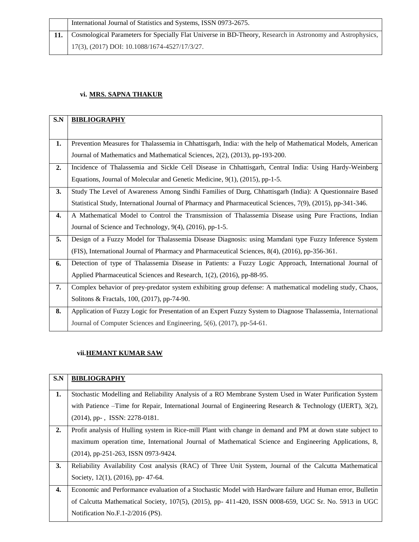**11.** Cosmological Parameters for Specially Flat Universe in BD-Theory, Research in Astronomy and Astrophysics, 17(3), (2017) DOI: 10.1088/1674-4527/17/3/27.

#### **vi. MRS. SAPNA THAKUR**

| S.N | <b>BIBLIOGRAPHY</b>                                                                                          |
|-----|--------------------------------------------------------------------------------------------------------------|
|     |                                                                                                              |
| 1.  | Prevention Measures for Thalassemia in Chhattisgarh, India: with the help of Mathematical Models, American   |
|     | Journal of Mathematics and Mathematical Sciences, 2(2), (2013), pp-193-200.                                  |
| 2.  | Incidence of Thalassemia and Sickle Cell Disease in Chhattisgarh, Central India: Using Hardy-Weinberg        |
|     | Equations, Journal of Molecular and Genetic Medicine, 9(1), (2015), pp-1-5.                                  |
| 3.  | Study The Level of Awareness Among Sindhi Families of Durg, Chhattisgarh (India): A Questionnaire Based      |
|     | Statistical Study, International Journal of Pharmacy and Pharmaceutical Sciences, 7(9), (2015), pp-341-346.  |
| 4.  | A Mathematical Model to Control the Transmission of Thalassemia Disease using Pure Fractions, Indian         |
|     | Journal of Science and Technology, 9(4), (2016), pp-1-5.                                                     |
| 5.  | Design of a Fuzzy Model for Thalassemia Disease Diagnosis: using Mamdani type Fuzzy Inference System         |
|     | (FIS), International Journal of Pharmacy and Pharmaceutical Sciences, 8(4), (2016), pp-356-361.              |
| 6.  | Detection of type of Thalassemia Disease in Patients: a Fuzzy Logic Approach, International Journal of       |
|     | Applied Pharmaceutical Sciences and Research, 1(2), (2016), pp-88-95.                                        |
| 7.  | Complex behavior of prey-predator system exhibiting group defense: A mathematical modeling study, Chaos,     |
|     | Solitons & Fractals, 100, (2017), pp-74-90.                                                                  |
| 8.  | Application of Fuzzy Logic for Presentation of an Expert Fuzzy System to Diagnose Thalassemia, International |
|     | Journal of Computer Sciences and Engineering, 5(6), (2017), pp-54-61.                                        |

### **vii.HEMANT KUMAR SAW**

| S.N | <b>BIBLIOGRAPHY</b>                                                                                          |
|-----|--------------------------------------------------------------------------------------------------------------|
|     |                                                                                                              |
| 1.  | Stochastic Modelling and Reliability Analysis of a RO Membrane System Used in Water Purification System      |
|     | with Patience –Time for Repair, International Journal of Engineering Research & Technology (IJERT), $3(2)$ , |
|     | $(2014)$ , pp-, ISSN: 2278-0181.                                                                             |
|     |                                                                                                              |
| 2.  | Profit analysis of Hulling system in Rice-mill Plant with change in demand and PM at down state subject to   |
|     | maximum operation time, International Journal of Mathematical Science and Engineering Applications, 8,       |
|     | (2014), pp-251-263, ISSN 0973-9424.                                                                          |
|     |                                                                                                              |
| 3.  | Reliability Availability Cost analysis (RAC) of Three Unit System, Journal of the Calcutta Mathematical      |
|     | Society, $12(1)$ , $(2016)$ , pp- 47-64.                                                                     |
|     |                                                                                                              |
| 4.  | Economic and Performance evaluation of a Stochastic Model with Hardware failure and Human error, Bulletin    |
|     | of Calcutta Mathematical Society, 107(5), (2015), pp- 411-420, ISSN 0008-659, UGC Sr. No. 5913 in UGC        |
|     |                                                                                                              |
|     | Notification No.F.1-2/2016 (PS).                                                                             |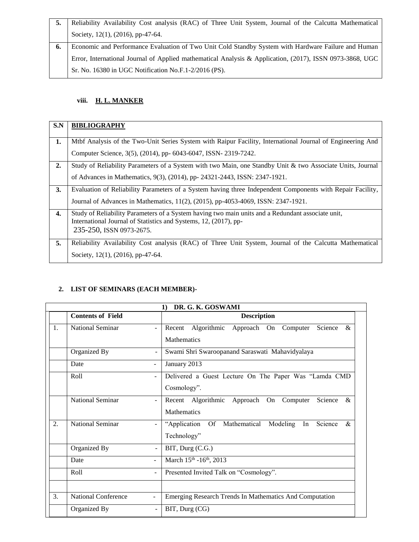| Reliability Availability Cost analysis (RAC) of Three Unit System, Journal of the Calcutta Mathematical  |
|----------------------------------------------------------------------------------------------------------|
| Society, 12(1), (2016), pp-47-64.                                                                        |
| Economic and Performance Evaluation of Two Unit Cold Standby System with Hardware Failure and Human      |
| Error, International Journal of Applied mathematical Analysis & Application, (2017), ISSN 0973-3868, UGC |
| Sr. No. 16380 in UGC Notification No.F.1-2/2016 (PS).                                                    |

# **viii. H. L. MANKER**

| <b>BIBLIOGRAPHY</b>                                                                                        |
|------------------------------------------------------------------------------------------------------------|
|                                                                                                            |
| Mtbf Analysis of the Two-Unit Series System with Raipur Facility, International Journal of Engineering And |
| Computer Science, 3(5), (2014), pp- 6043-6047, ISSN-2319-7242.                                             |
| Study of Reliability Parameters of a System with two Main, one Standby Unit & two Associate Units, Journal |
| of Advances in Mathematics, 9(3), (2014), pp- 24321-2443, ISSN: 2347-1921.                                 |
| Evaluation of Reliability Parameters of a System having three Independent Components with Repair Facility, |
| Journal of Advances in Mathematics, 11(2), (2015), pp-4053-4069, ISSN: 2347-1921.                          |
| Study of Reliability Parameters of a System having two main units and a Redundant associate unit,          |
| International Journal of Statistics and Systems, 12, (2017), pp-<br>235-250, ISSN 0973-2675.               |
|                                                                                                            |
| Reliability Availability Cost analysis (RAC) of Three Unit System, Journal of the Calcutta Mathematical    |
| Society, 12(1), (2016), pp-47-64.                                                                          |
|                                                                                                            |

#### **2. LIST OF SEMINARS (EACH MEMBER)-**

|    | DR. G. K. GOSWAMI<br>$\bf{1}$ |                          |                                                                                     |  |  |
|----|-------------------------------|--------------------------|-------------------------------------------------------------------------------------|--|--|
|    | <b>Contents of Field</b>      |                          | <b>Description</b>                                                                  |  |  |
| 1. | National Seminar              |                          | Algorithmic<br>Science<br>Recent<br>Approach On Computer<br>&<br><b>Mathematics</b> |  |  |
|    | Organized By                  |                          | Swami Shri Swaroopanand Saraswati Mahavidyalaya                                     |  |  |
|    | Date                          |                          | January 2013                                                                        |  |  |
|    | Roll                          |                          | Delivered a Guest Lecture On The Paper Was "Lamda CMD<br>Cosmology".                |  |  |
|    | National Seminar              |                          | Science<br>Recent Algorithmic Approach On<br>Computer<br>&<br><b>Mathematics</b>    |  |  |
| 2. | <b>National Seminar</b>       |                          | "Application Of Mathematical<br>Modeling In<br>Science<br>$\&$<br>Technology"       |  |  |
|    | Organized By                  |                          | BIT, Durg (C.G.)                                                                    |  |  |
|    | Date                          | L,                       | March 15th -16th, 2013                                                              |  |  |
|    | Roll                          |                          | Presented Invited Talk on "Cosmology".                                              |  |  |
| 3. | <b>National Conference</b>    | $\overline{\phantom{a}}$ | Emerging Research Trends In Mathematics And Computation                             |  |  |
|    | Organized By                  |                          | BIT, Durg (CG)                                                                      |  |  |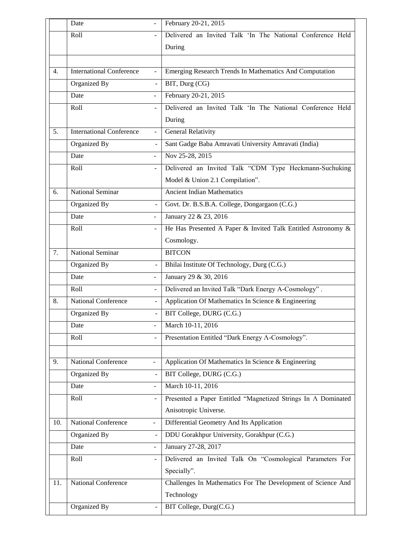|     | Date                            |                          | February 20-21, 2015                                          |
|-----|---------------------------------|--------------------------|---------------------------------------------------------------|
|     | Roll                            |                          | Delivered an Invited Talk 'In The National Conference Held    |
|     |                                 |                          | During                                                        |
|     |                                 |                          |                                                               |
| 4.  | <b>International Conference</b> | $\overline{a}$           | Emerging Research Trends In Mathematics And Computation       |
|     | Organized By                    | $\overline{a}$           | BIT, Durg (CG)                                                |
|     | Date                            |                          | February 20-21, 2015                                          |
|     | Roll                            |                          | Delivered an Invited Talk 'In The National Conference Held    |
|     |                                 |                          | During                                                        |
| 5.  | <b>International Conference</b> | $\blacksquare$           | <b>General Relativity</b>                                     |
|     | Organized By                    | $\blacksquare$           | Sant Gadge Baba Amravati University Amravati (India)          |
|     | Date                            |                          | Nov 25-28, 2015                                               |
|     | Roll                            | $\blacksquare$           | Delivered an Invited Talk "CDM Type Heckmann-Suchuking        |
|     |                                 |                          | Model & Union 2.1 Compilation".                               |
| 6.  | <b>National Seminar</b>         |                          | <b>Ancient Indian Mathematics</b>                             |
|     | Organized By                    | $\blacksquare$           | Govt. Dr. B.S.B.A. College, Dongargaon (C.G.)                 |
|     | Date                            |                          | January 22 & 23, 2016                                         |
|     | Roll                            | ÷,                       | He Has Presented A Paper & Invited Talk Entitled Astronomy &  |
|     |                                 |                          | Cosmology.                                                    |
| 7.  | <b>National Seminar</b>         |                          | <b>BITCON</b>                                                 |
|     | Organized By                    | $\overline{\phantom{a}}$ | Bhilai Institute Of Technology, Durg (C.G.)                   |
|     | Date                            |                          | January 29 & 30, 2016                                         |
|     | Roll                            | $\overline{a}$           | Delivered an Invited Talk "Dark Energy A-Cosmology".          |
| 8.  | <b>National Conference</b>      | $\overline{\phantom{0}}$ | Application Of Mathematics In Science & Engineering           |
|     | Organized By                    | $\overline{a}$           | BIT College, DURG (C.G.)                                      |
|     | Date                            |                          | March 10-11, 2016                                             |
|     | Roll                            |                          | Presentation Entitled "Dark Energy A-Cosmology".              |
|     |                                 |                          |                                                               |
| 9.  | National Conference             | $\equiv$                 | Application Of Mathematics In Science & Engineering           |
|     | Organized By                    |                          | BIT College, DURG (C.G.)                                      |
|     | Date                            | $\overline{\phantom{a}}$ | March 10-11, 2016                                             |
|     | Roll                            | Ξ,                       | Presented a Paper Entitled "Magnetized Strings In A Dominated |
|     |                                 |                          | Anisotropic Universe.                                         |
| 10. | <b>National Conference</b>      | $\overline{\phantom{a}}$ | Differential Geometry And Its Application                     |
|     | Organized By                    | $\blacksquare$           | DDU Gorakhpur University, Gorakhpur (C.G.)                    |
|     | Date                            |                          | January 27-28, 2017                                           |
|     | Roll                            | $\overline{\phantom{0}}$ | Delivered an Invited Talk On "Cosmological Parameters For     |
|     |                                 |                          | Specially".                                                   |
| 11. | <b>National Conference</b>      |                          | Challenges In Mathematics For The Development of Science And  |
|     |                                 |                          | Technology                                                    |
|     | Organized By                    | $\overline{\phantom{0}}$ | BIT College, Durg(C.G.)                                       |
|     |                                 |                          |                                                               |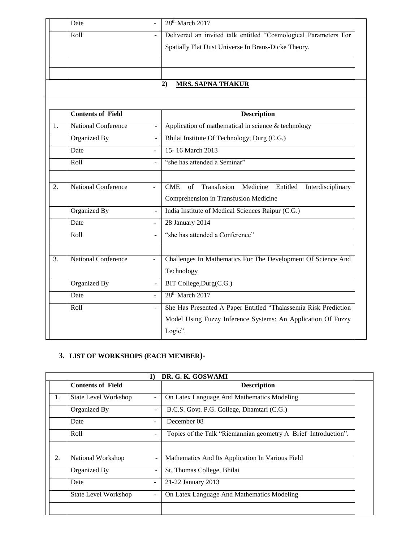| Date                       |                                                 | 28 <sup>th</sup> March 2017                                        |
|----------------------------|-------------------------------------------------|--------------------------------------------------------------------|
| Roll                       |                                                 | Delivered an invited talk entitled "Cosmological Parameters For    |
|                            |                                                 | Spatially Flat Dust Universe In Brans-Dicke Theory.                |
|                            |                                                 |                                                                    |
|                            |                                                 |                                                                    |
|                            |                                                 | 2)<br><b>MRS. SAPNA THAKUR</b>                                     |
|                            |                                                 |                                                                    |
|                            |                                                 | <b>Description</b>                                                 |
| <b>National Conference</b> |                                                 | Application of mathematical in science $&$ technology              |
| Organized By               |                                                 | Bhilai Institute Of Technology, Durg (C.G.)                        |
| Date                       | $\overline{\phantom{a}}$                        | 15-16 March 2013                                                   |
| Roll                       |                                                 | "she has attended a Seminar"                                       |
| <b>National Conference</b> | $\blacksquare$                                  | CME<br>Transfusion Medicine<br>of<br>Entitled<br>Interdisciplinary |
|                            |                                                 | Comprehension in Transfusion Medicine                              |
| Organized By               |                                                 | India Institute of Medical Sciences Raipur (C.G.)                  |
| Date                       |                                                 | 28 January 2014                                                    |
| Roll                       |                                                 | "she has attended a Conference"                                    |
|                            |                                                 | Challenges In Mathematics For The Development Of Science And       |
|                            |                                                 | Technology                                                         |
| Organized By               |                                                 | BIT College, Durg(C.G.)                                            |
| Date                       |                                                 | 28 <sup>th</sup> March 2017                                        |
| Roll                       |                                                 | She Has Presented A Paper Entitled "Thalassemia Risk Prediction    |
|                            |                                                 | Model Using Fuzzy Inference Systems: An Application Of Fuzzy       |
|                            |                                                 |                                                                    |
|                            | <b>Contents of Field</b><br>National Conference |                                                                    |

# **3. LIST OF WORKSHOPS (EACH MEMBER)-**

|    | DR. G. K. GOSWAMI<br>$\bf{1)}$ |                          |                                                                |  |  |
|----|--------------------------------|--------------------------|----------------------------------------------------------------|--|--|
|    | <b>Contents of Field</b>       |                          | <b>Description</b>                                             |  |  |
| 1. | <b>State Level Workshop</b>    | $\overline{\phantom{0}}$ | On Latex Language And Mathematics Modeling                     |  |  |
|    | Organized By                   | ۰                        | B.C.S. Govt. P.G. College, Dhamtari (C.G.)                     |  |  |
|    | Date                           | ۰                        | December 08                                                    |  |  |
|    | Roll                           | ٠                        | Topics of the Talk "Riemannian geometry A Brief Introduction". |  |  |
|    |                                |                          |                                                                |  |  |
| 2. | National Workshop              | $\overline{\phantom{a}}$ | Mathematics And Its Application In Various Field               |  |  |
|    | Organized By                   | $\overline{\phantom{a}}$ | St. Thomas College, Bhilai                                     |  |  |
|    | Date                           |                          | 21-22 January 2013                                             |  |  |
|    | <b>State Level Workshop</b>    | -                        | On Latex Language And Mathematics Modeling                     |  |  |
|    |                                |                          |                                                                |  |  |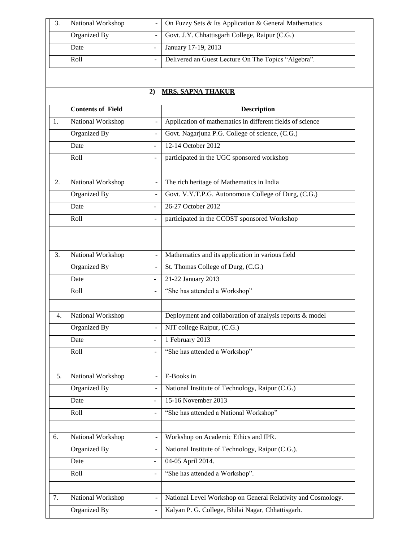| National Workshop | - On Fuzzy Sets & Its Application & General Mathematics |
|-------------------|---------------------------------------------------------|
| Organized By      | -   Govt. J.Y. Chhattisgarh College, Raipur (C.G.)      |
| Date              | January 17-19, 2013                                     |
| Roll              | Delivered an Guest Lecture On The Topics "Algebra".     |

# **2) MRS. SAPNA THAKUR**

|    | <b>Contents of Field</b>                      | <b>Description</b>                                           |
|----|-----------------------------------------------|--------------------------------------------------------------|
| 1. | National Workshop<br>$\overline{a}$           | Application of mathematics in different fields of science    |
|    | Organized By                                  | Govt. Nagarjuna P.G. College of science, (C.G.)              |
|    | Date                                          | 12-14 October 2012                                           |
|    | Roll                                          | participated in the UGC sponsored workshop                   |
|    |                                               |                                                              |
| 2. | National Workshop<br>$\overline{\phantom{0}}$ | The rich heritage of Mathematics in India                    |
|    | Organized By                                  | Govt. V.Y.T.P.G. Autonomous College of Durg, (C.G.)          |
|    | Date                                          | 26-27 October 2012                                           |
|    | Roll                                          | participated in the CCOST sponsored Workshop                 |
|    |                                               |                                                              |
| 3. | National Workshop                             | Mathematics and its application in various field             |
|    | Organized By<br>$\overline{a}$                | St. Thomas College of Durg, (C.G.)                           |
|    | Date<br>$\overline{a}$                        | 21-22 January 2013                                           |
|    | Roll<br>÷,                                    | "She has attended a Workshop"                                |
|    |                                               |                                                              |
| 4. | National Workshop                             | Deployment and collaboration of analysis reports & model     |
|    | Organized By                                  | NIT college Raipur, (C.G.)                                   |
|    | Date                                          | 1 February 2013                                              |
|    | Roll                                          | "She has attended a Workshop"                                |
| 5. | National Workshop<br>$\overline{a}$           | E-Books in                                                   |
|    | Organized By                                  | National Institute of Technology, Raipur (C.G.)              |
|    | Date                                          | 15-16 November 2013                                          |
|    | Roll                                          | "She has attended a National Workshop"                       |
| 6. | National Workshop                             | Workshop on Academic Ethics and IPR.                         |
|    | Organized By<br>$\overline{a}$                | National Institute of Technology, Raipur (C.G.).             |
|    | Date<br>۰                                     | 04-05 April 2014.                                            |
|    | Roll                                          | "She has attended a Workshop".                               |
|    |                                               |                                                              |
| 7. | National Workshop                             | National Level Workshop on General Relativity and Cosmology. |
|    | Organized By                                  | Kalyan P. G. College, Bhilai Nagar, Chhattisgarh.            |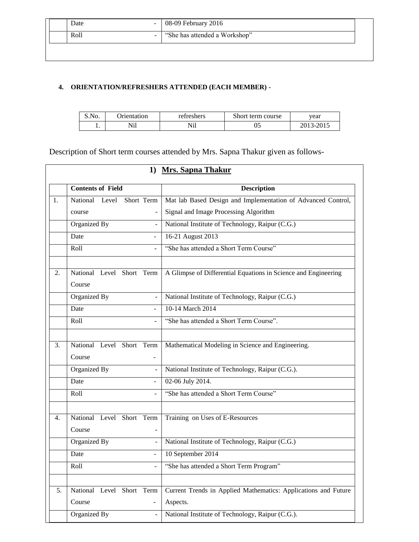| Date       | 08-09 February $2016$         |
|------------|-------------------------------|
| Roll<br>÷. | "She has attended a Workshop" |

#### **4. ORIENTATION/REFRESHERS ATTENDED (EACH MEMBER) -**

| S.NO. | <b>Drientation</b> | refreshers    | Short term course | vear               |
|-------|--------------------|---------------|-------------------|--------------------|
| . .   | Nil                | $T^*T$<br>N11 | ບຸ                | 2013<br>2015<br>┒- |

Description of Short term courses attended by Mrs. Sapna Thakur given as follows-

|    | 1) Mrs. Sapna Thakur             |                                                                |  |  |  |
|----|----------------------------------|----------------------------------------------------------------|--|--|--|
|    | <b>Contents of Field</b>         | <b>Description</b>                                             |  |  |  |
| 1. | National<br>Short Term<br>Level  | Mat lab Based Design and Implementation of Advanced Control,   |  |  |  |
|    | course                           | Signal and Image Processing Algorithm                          |  |  |  |
|    | Organized By                     | National Institute of Technology, Raipur (C.G.)                |  |  |  |
|    | Date<br>$\frac{1}{2}$            | 16-21 August 2013                                              |  |  |  |
|    | Roll<br>$\blacksquare$           | "She has attended a Short Term Course"                         |  |  |  |
|    |                                  |                                                                |  |  |  |
| 2. | National Level Short Term        | A Glimpse of Differential Equations in Science and Engineering |  |  |  |
|    | Course                           |                                                                |  |  |  |
|    | Organized By<br>$\overline{a}$   | National Institute of Technology, Raipur (C.G.)                |  |  |  |
|    | Date                             | 10-14 March 2014                                               |  |  |  |
|    | Roll<br>$\overline{\phantom{a}}$ | "She has attended a Short Term Course".                        |  |  |  |
|    |                                  |                                                                |  |  |  |
| 3. | National Level Short Term        | Mathematical Modeling in Science and Engineering.              |  |  |  |
|    | Course                           |                                                                |  |  |  |
|    | Organized By                     | National Institute of Technology, Raipur (C.G.).               |  |  |  |
|    | Date<br>$\overline{\phantom{a}}$ | 02-06 July 2014.                                               |  |  |  |
|    | Roll                             | "She has attended a Short Term Course"                         |  |  |  |
|    |                                  |                                                                |  |  |  |
| 4. | National Level Short Term        | Training on Uses of E-Resources                                |  |  |  |
|    | Course                           |                                                                |  |  |  |
|    | Organized By                     | National Institute of Technology, Raipur (C.G.)                |  |  |  |
|    | Date<br>$\overline{a}$           | 10 September 2014                                              |  |  |  |
|    | Roll                             | "She has attended a Short Term Program"                        |  |  |  |
|    |                                  |                                                                |  |  |  |
| 5. | National Level Short Term        | Current Trends in Applied Mathematics: Applications and Future |  |  |  |
|    | Course                           | Aspects.                                                       |  |  |  |
|    | Organized By<br>$\overline{a}$   | National Institute of Technology, Raipur (C.G.).               |  |  |  |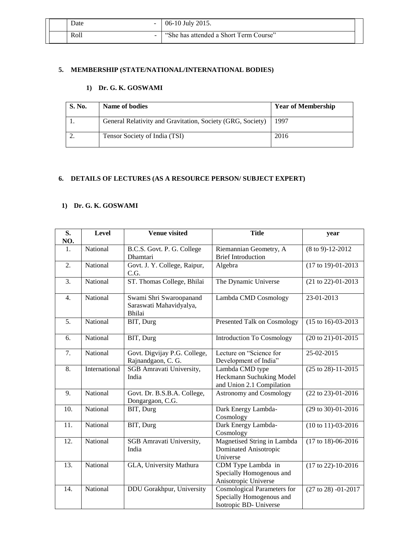|  | Date<br>$\sim$           | 06-10 July 2015.                       |
|--|--------------------------|----------------------------------------|
|  | Roll<br>$\sim$ 100 $\mu$ | "She has attended a Short Term Course" |

#### **5. MEMBERSHIP (STATE/NATIONAL/INTERNATIONAL BODIES)**

#### **1) Dr. G. K. GOSWAMI**

| <b>S. No.</b> | Name of bodies                                             | <b>Year of Membership</b> |
|---------------|------------------------------------------------------------|---------------------------|
|               | General Relativity and Gravitation, Society (GRG, Society) | 1997                      |
|               | Tensor Society of India (TSI)                              | 2016                      |

#### **6. DETAILS OF LECTURES (AS A RESOURCE PERSON/ SUBJECT EXPERT)**

#### **1) Dr. G. K. GOSWAMI**

| S.<br>NO. | <b>Level</b>  | Venue visited                                                | <b>Title</b>                                                                             | year                              |
|-----------|---------------|--------------------------------------------------------------|------------------------------------------------------------------------------------------|-----------------------------------|
| 1.        | National      | B.C.S. Govt. P. G. College                                   | Riemannian Geometry, A                                                                   | $(8 \text{ to } 9) - 12 - 2012$   |
|           |               | Dhamtari                                                     | <b>Brief Introduction</b>                                                                |                                   |
| 2.        | National      | Govt. J. Y. College, Raipur,<br>C.G.                         | Algebra                                                                                  | (17 to 19)-01-2013                |
| 3.        | National      | ST. Thomas College, Bhilai                                   | The Dynamic Universe                                                                     | (21 to 22)-01-2013                |
| 4.        | National      | Swami Shri Swaroopanand<br>Saraswati Mahavidyalya,<br>Bhilai | Lambda CMD Cosmology                                                                     | 23-01-2013                        |
| 5.        | National      | BIT, Durg                                                    | Presented Talk on Cosmology                                                              | $(15 \text{ to } 16) - 03 - 2013$ |
| 6.        | National      | BIT, Durg                                                    | <b>Introduction To Cosmology</b>                                                         | (20 to 21)-01-2015                |
| 7.        | National      | Govt. Digvijay P.G. College,<br>Rajnandgaon, C. G.           | Lecture on "Science for<br>Development of India"                                         | 25-02-2015                        |
| 8.        | International | SGB Amravati University,<br>India                            | Lambda CMD type<br>Heckmann Suchuking Model<br>and Union 2.1 Compilation                 | (25 to 28)-11-2015                |
| 9.        | National      | Govt. Dr. B.S.B.A. College,<br>Dongargaon, C.G.              | <b>Astronomy and Cosmology</b>                                                           | (22 to 23)-01-2016                |
| 10.       | National      | BIT, Durg                                                    | Dark Energy Lambda-<br>Cosmology                                                         | (29 to 30)-01-2016                |
| 11.       | National      | BIT, Durg                                                    | Dark Energy Lambda-<br>Cosmology                                                         | $(10 to 11)-03-2016$              |
| 12.       | National      | SGB Amravati University,<br>India                            | Magnetised String in Lambda<br>Dominated Anisotropic<br>Universe                         | $(17 \text{ to } 18)$ -06-2016    |
| 13.       | National      | GLA, University Mathura                                      | CDM Type Lambda in<br>Specially Homogenous and<br>Anisotropic Universe                   | (17 to 22)-10-2016                |
| 14.       | National      | DDU Gorakhpur, University                                    | <b>Cosmological Parameters for</b><br>Specially Homogenous and<br>Isotropic BD- Universe | (27 to 28) -01-2017               |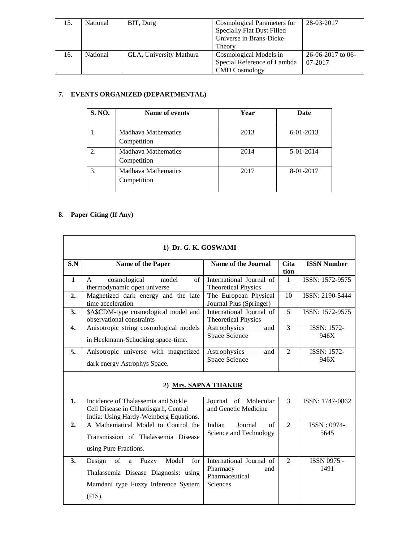| 15. | National | BIT, Durg               | Cosmological Parameters for       | 28-03-2017          |
|-----|----------|-------------------------|-----------------------------------|---------------------|
|     |          |                         | <b>Specially Flat Dust Filled</b> |                     |
|     |          |                         | Universe in Brans-Dicke           |                     |
|     |          |                         | Theory                            |                     |
| 16. | National | GLA, University Mathura | Cosmological Models in            | $26-06-2017$ to 06- |
|     |          |                         | Special Reference of Lambda       | 07-2017             |
|     |          |                         | <b>CMD</b> Cosmology              |                     |

#### **7. EVENTS ORGANIZED (DEPARTMENTAL)**

| S. NO. | Name of events                            | Year | Date            |
|--------|-------------------------------------------|------|-----------------|
|        | <b>Madhava Mathematics</b><br>Competition | 2013 | $6 - 01 - 2013$ |
|        | Madhava Mathematics<br>Competition        | 2014 | 5-01-2014       |
| 3.     | <b>Madhava Mathematics</b><br>Competition | 2017 | 8-01-2017       |

# **8. Paper Citing (If Any)**

| 1) Dr. G. K. GOSWAMI |                                                                                                                                     |                                                                           |                     |                            |  |  |
|----------------------|-------------------------------------------------------------------------------------------------------------------------------------|---------------------------------------------------------------------------|---------------------|----------------------------|--|--|
| S.N                  | Name of the Paper                                                                                                                   | Name of the Journal                                                       | <b>Cita</b><br>tion | <b>ISSN Number</b>         |  |  |
| $\mathbf{1}$         | cosmological<br>of<br>model<br>A<br>thermodynamic open universe                                                                     | International Journal of<br><b>Theoretical Physics</b>                    | $\mathbf{1}$        | ISSN: 1572-9575            |  |  |
| 2.                   | Magnetized dark energy and the late<br>time acceleration                                                                            | The European Physical<br>Journal Plus (Springer)                          | 10                  | ISSN: 2190-5444            |  |  |
| 3.                   | \$A\$CDM-type cosmological model and<br>observational constraints                                                                   | International Journal of<br><b>Theoretical Physics</b>                    | 5                   | ISSN: 1572-9575            |  |  |
| $\boldsymbol{4}$ .   | Anisotropic string cosmological models<br>in Heckmann-Schucking space-time.                                                         | Astrophysics<br>and<br>Space Science                                      | 3                   | <b>ISSN: 1572-</b><br>946X |  |  |
| 5.                   | Anisotropic universe with magnetized<br>dark energy Astrophys Space.                                                                | Astrophysics<br>and<br>Space Science                                      | 2                   | <b>ISSN: 1572-</b><br>946X |  |  |
| 2) Mrs. SAPNA THAKUR |                                                                                                                                     |                                                                           |                     |                            |  |  |
| $\mathbf{1}$ .       | Incidence of Thalassemia and Sickle<br>Cell Disease in Chhattisgarh, Central<br>India: Using Hardy-Weinberg Equations.              | Journal of Molecular<br>and Genetic Medicine                              | $\overline{3}$      | ISSN: 1747-0862            |  |  |
| 2.                   | A Mathematical Model to Control the<br>Transmission of Thalassemia Disease<br>using Pure Fractions.                                 | Indian<br>Journal<br>of<br>Science and Technology                         | $\mathfrak{D}$      | $ISSN: 0974-$<br>5645      |  |  |
| 3.                   | Design<br>of<br>Fuzzy<br>Model<br>for<br>a<br>Thalassemia Disease Diagnosis: using<br>Mamdani type Fuzzy Inference System<br>(FIS). | International Journal of<br>Pharmacy<br>and<br>Pharmaceutical<br>Sciences | 2                   | <b>ISSN 0975 -</b><br>1491 |  |  |